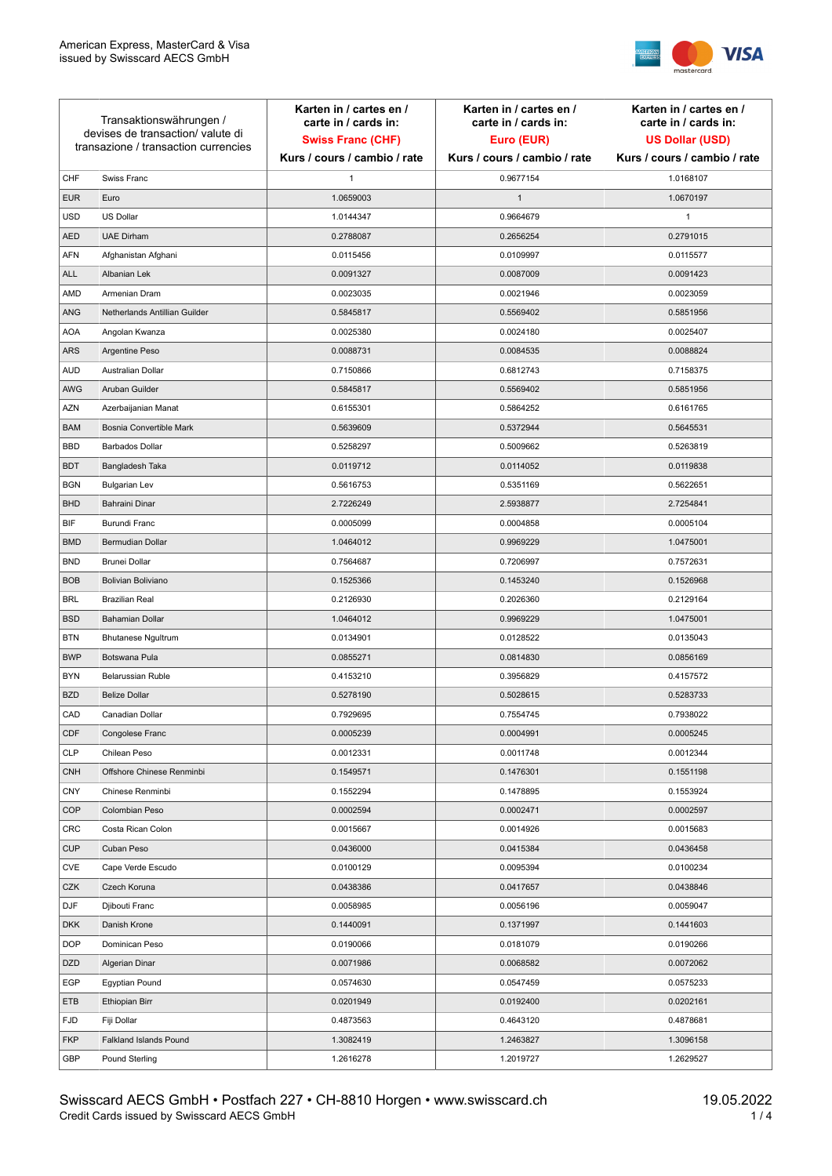

| Transaktionswährungen /<br>devises de transaction/valute di<br>transazione / transaction currencies |                               | Karten in / cartes en /<br>carte in / cards in:<br><b>Swiss Franc (CHF)</b> | Karten in / cartes en /<br>carte in / cards in:<br>Euro (EUR) | Karten in / cartes en /<br>carte in / cards in:<br><b>US Dollar (USD)</b> |
|-----------------------------------------------------------------------------------------------------|-------------------------------|-----------------------------------------------------------------------------|---------------------------------------------------------------|---------------------------------------------------------------------------|
|                                                                                                     |                               | Kurs / cours / cambio / rate                                                | Kurs / cours / cambio / rate                                  | Kurs / cours / cambio / rate                                              |
| CHF                                                                                                 | Swiss Franc                   | $\mathbf{1}$                                                                | 0.9677154                                                     | 1.0168107                                                                 |
| <b>EUR</b>                                                                                          | Euro                          | 1.0659003                                                                   | $\mathbf{1}$                                                  | 1.0670197                                                                 |
| <b>USD</b>                                                                                          | <b>US Dollar</b>              | 1.0144347                                                                   | 0.9664679                                                     | $\mathbf{1}$                                                              |
| <b>AED</b>                                                                                          | <b>UAE Dirham</b>             | 0.2788087                                                                   | 0.2656254                                                     | 0.2791015                                                                 |
| AFN                                                                                                 | Afghanistan Afghani           | 0.0115456                                                                   | 0.0109997                                                     | 0.0115577                                                                 |
| <b>ALL</b>                                                                                          | Albanian Lek                  | 0.0091327                                                                   | 0.0087009                                                     | 0.0091423                                                                 |
| AMD                                                                                                 | Armenian Dram                 | 0.0023035                                                                   | 0.0021946                                                     | 0.0023059                                                                 |
| ANG                                                                                                 | Netherlands Antillian Guilder | 0.5845817                                                                   | 0.5569402                                                     | 0.5851956                                                                 |
| <b>AOA</b>                                                                                          | Angolan Kwanza                | 0.0025380                                                                   | 0.0024180                                                     | 0.0025407                                                                 |
| <b>ARS</b>                                                                                          | Argentine Peso                | 0.0088731                                                                   | 0.0084535                                                     | 0.0088824                                                                 |
| <b>AUD</b>                                                                                          | Australian Dollar             | 0.7150866                                                                   | 0.6812743                                                     | 0.7158375                                                                 |
| AWG                                                                                                 | Aruban Guilder                | 0.5845817                                                                   | 0.5569402                                                     | 0.5851956                                                                 |
| AZN                                                                                                 | Azerbaijanian Manat           | 0.6155301                                                                   | 0.5864252                                                     | 0.6161765                                                                 |
| <b>BAM</b>                                                                                          | Bosnia Convertible Mark       | 0.5639609                                                                   | 0.5372944                                                     | 0.5645531                                                                 |
| <b>BBD</b>                                                                                          | <b>Barbados Dollar</b>        | 0.5258297                                                                   | 0.5009662                                                     | 0.5263819                                                                 |
| <b>BDT</b>                                                                                          | Bangladesh Taka               | 0.0119712                                                                   | 0.0114052                                                     | 0.0119838                                                                 |
| <b>BGN</b>                                                                                          | <b>Bulgarian Lev</b>          | 0.5616753                                                                   | 0.5351169                                                     | 0.5622651                                                                 |
| <b>BHD</b>                                                                                          | Bahraini Dinar                | 2.7226249                                                                   | 2.5938877                                                     | 2.7254841                                                                 |
| <b>BIF</b>                                                                                          | Burundi Franc                 | 0.0005099                                                                   | 0.0004858                                                     | 0.0005104                                                                 |
| <b>BMD</b>                                                                                          | Bermudian Dollar              | 1.0464012                                                                   | 0.9969229                                                     | 1.0475001                                                                 |
| <b>BND</b>                                                                                          | Brunei Dollar                 | 0.7564687                                                                   | 0.7206997                                                     | 0.7572631                                                                 |
| <b>BOB</b>                                                                                          | <b>Bolivian Boliviano</b>     | 0.1525366                                                                   | 0.1453240                                                     | 0.1526968                                                                 |
| <b>BRL</b>                                                                                          | <b>Brazilian Real</b>         | 0.2126930                                                                   | 0.2026360                                                     | 0.2129164                                                                 |
| <b>BSD</b>                                                                                          | <b>Bahamian Dollar</b>        | 1.0464012                                                                   | 0.9969229                                                     | 1.0475001                                                                 |
| <b>BTN</b>                                                                                          | <b>Bhutanese Ngultrum</b>     | 0.0134901                                                                   | 0.0128522                                                     | 0.0135043                                                                 |
| <b>BWP</b>                                                                                          | Botswana Pula                 | 0.0855271                                                                   | 0.0814830                                                     | 0.0856169                                                                 |
| <b>BYN</b>                                                                                          | <b>Belarussian Ruble</b>      | 0.4153210                                                                   | 0.3956829                                                     | 0.4157572                                                                 |
| <b>BZD</b>                                                                                          | <b>Belize Dollar</b>          | 0.5278190                                                                   | 0.5028615                                                     | 0.5283733                                                                 |
| CAD                                                                                                 | Canadian Dollar               | 0.7929695                                                                   | 0.7554745                                                     | 0.7938022                                                                 |
| CDF                                                                                                 | Congolese Franc               | 0.0005239                                                                   | 0.0004991                                                     | 0.0005245                                                                 |
| <b>CLP</b>                                                                                          | Chilean Peso                  | 0.0012331                                                                   | 0.0011748                                                     | 0.0012344                                                                 |
| <b>CNH</b>                                                                                          | Offshore Chinese Renminbi     | 0.1549571                                                                   | 0.1476301                                                     | 0.1551198                                                                 |
| <b>CNY</b>                                                                                          | Chinese Renminbi              | 0.1552294                                                                   | 0.1478895                                                     | 0.1553924                                                                 |
| <b>COP</b>                                                                                          | <b>Colombian Peso</b>         | 0.0002594                                                                   | 0.0002471                                                     | 0.0002597                                                                 |
| CRC                                                                                                 | Costa Rican Colon             | 0.0015667                                                                   | 0.0014926                                                     | 0.0015683                                                                 |
| <b>CUP</b>                                                                                          | Cuban Peso                    | 0.0436000                                                                   | 0.0415384                                                     | 0.0436458                                                                 |
| CVE                                                                                                 | Cape Verde Escudo             | 0.0100129                                                                   | 0.0095394                                                     | 0.0100234                                                                 |
| CZK                                                                                                 | Czech Koruna                  | 0.0438386                                                                   | 0.0417657                                                     | 0.0438846                                                                 |
| DJF                                                                                                 | Djibouti Franc                | 0.0058985                                                                   | 0.0056196                                                     | 0.0059047                                                                 |
| <b>DKK</b>                                                                                          | Danish Krone                  | 0.1440091                                                                   | 0.1371997                                                     | 0.1441603                                                                 |
| <b>DOP</b>                                                                                          | Dominican Peso                | 0.0190066                                                                   | 0.0181079                                                     | 0.0190266                                                                 |
| DZD                                                                                                 | Algerian Dinar                | 0.0071986                                                                   | 0.0068582                                                     | 0.0072062                                                                 |
| EGP                                                                                                 | <b>Egyptian Pound</b>         | 0.0574630                                                                   | 0.0547459                                                     | 0.0575233                                                                 |
| ETB                                                                                                 | Ethiopian Birr                | 0.0201949                                                                   | 0.0192400                                                     | 0.0202161                                                                 |
| <b>FJD</b>                                                                                          | Fiji Dollar                   | 0.4873563                                                                   | 0.4643120                                                     | 0.4878681                                                                 |
| <b>FKP</b>                                                                                          | Falkland Islands Pound        | 1.3082419                                                                   | 1.2463827                                                     | 1.3096158                                                                 |
| GBP                                                                                                 | Pound Sterling                | 1.2616278                                                                   | 1.2019727                                                     | 1.2629527                                                                 |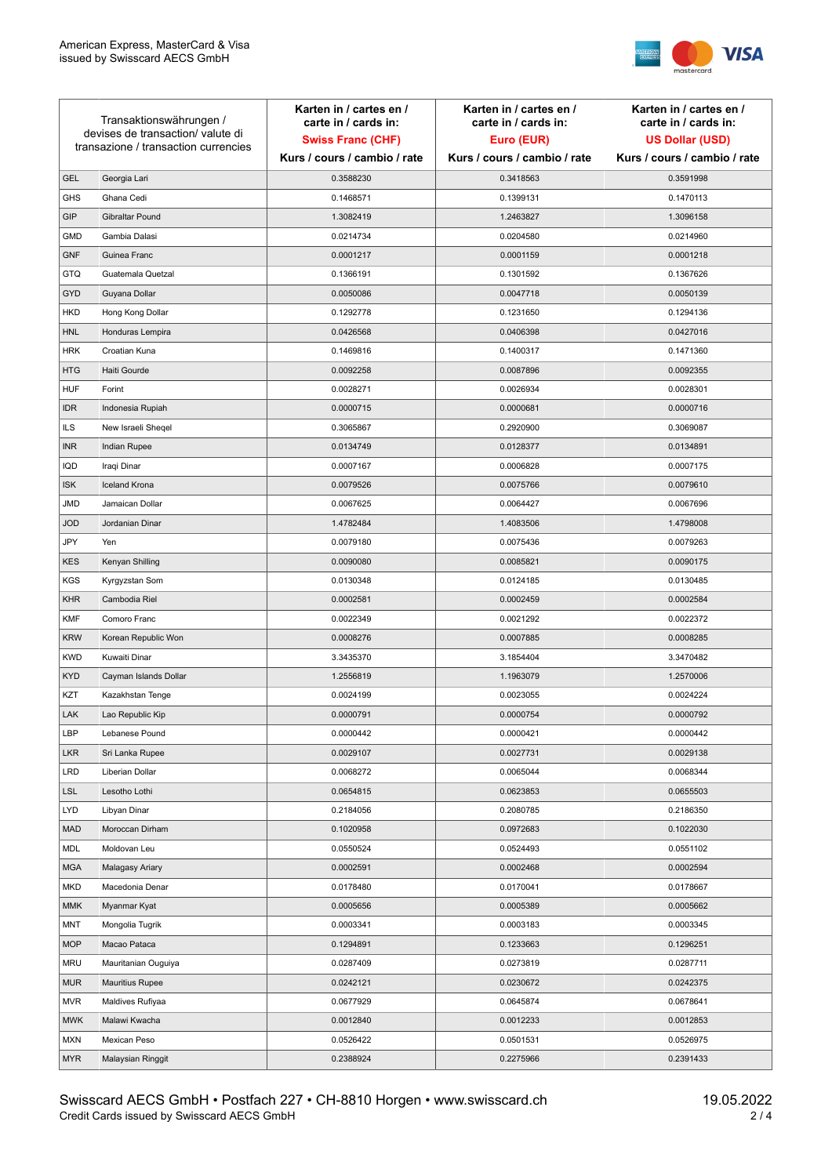

| Transaktionswährungen /<br>devises de transaction/valute di<br>transazione / transaction currencies |                        | Karten in / cartes en /<br>carte in / cards in: | Karten in / cartes en /<br>carte in / cards in: | Karten in / cartes en /<br>carte in / cards in: |
|-----------------------------------------------------------------------------------------------------|------------------------|-------------------------------------------------|-------------------------------------------------|-------------------------------------------------|
|                                                                                                     |                        | <b>Swiss Franc (CHF)</b>                        | Euro (EUR)                                      | <b>US Dollar (USD)</b>                          |
|                                                                                                     |                        | Kurs / cours / cambio / rate                    | Kurs / cours / cambio / rate                    | Kurs / cours / cambio / rate                    |
| <b>GEL</b>                                                                                          | Georgia Lari           | 0.3588230                                       | 0.3418563                                       | 0.3591998                                       |
| <b>GHS</b>                                                                                          | Ghana Cedi             | 0.1468571                                       | 0.1399131                                       | 0.1470113                                       |
| GIP                                                                                                 | Gibraltar Pound        | 1.3082419                                       | 1.2463827                                       | 1.3096158                                       |
| <b>GMD</b>                                                                                          | Gambia Dalasi          | 0.0214734                                       | 0.0204580                                       | 0.0214960                                       |
| <b>GNF</b>                                                                                          | Guinea Franc           | 0.0001217                                       | 0.0001159                                       | 0.0001218                                       |
| <b>GTQ</b>                                                                                          | Guatemala Quetzal      | 0.1366191                                       | 0.1301592                                       | 0.1367626                                       |
| GYD                                                                                                 | Guyana Dollar          | 0.0050086                                       | 0.0047718                                       | 0.0050139                                       |
| HKD                                                                                                 | Hong Kong Dollar       | 0.1292778                                       | 0.1231650                                       | 0.1294136                                       |
| <b>HNL</b>                                                                                          | Honduras Lempira       | 0.0426568                                       | 0.0406398                                       | 0.0427016                                       |
| <b>HRK</b>                                                                                          | Croatian Kuna          | 0.1469816                                       | 0.1400317                                       | 0.1471360                                       |
| <b>HTG</b>                                                                                          | Haiti Gourde           | 0.0092258                                       | 0.0087896                                       | 0.0092355                                       |
| <b>HUF</b>                                                                                          | Forint                 | 0.0028271                                       | 0.0026934                                       | 0.0028301                                       |
| <b>IDR</b>                                                                                          | Indonesia Rupiah       | 0.0000715                                       | 0.0000681                                       | 0.0000716                                       |
| <b>ILS</b>                                                                                          | New Israeli Sheqel     | 0.3065867                                       | 0.2920900                                       | 0.3069087                                       |
| <b>INR</b>                                                                                          | Indian Rupee           | 0.0134749                                       | 0.0128377                                       | 0.0134891                                       |
| IQD                                                                                                 | Iraqi Dinar            | 0.0007167                                       | 0.0006828                                       | 0.0007175                                       |
| <b>ISK</b>                                                                                          | <b>Iceland Krona</b>   | 0.0079526                                       | 0.0075766                                       | 0.0079610                                       |
| <b>JMD</b>                                                                                          | Jamaican Dollar        | 0.0067625                                       | 0.0064427                                       | 0.0067696                                       |
| <b>JOD</b>                                                                                          | Jordanian Dinar        | 1.4782484                                       | 1.4083506                                       | 1.4798008                                       |
| JPY                                                                                                 | Yen                    | 0.0079180                                       | 0.0075436                                       | 0.0079263                                       |
| <b>KES</b>                                                                                          | Kenyan Shilling        | 0.0090080                                       | 0.0085821                                       | 0.0090175                                       |
| <b>KGS</b>                                                                                          | Kyrgyzstan Som         | 0.0130348                                       | 0.0124185                                       | 0.0130485                                       |
| <b>KHR</b>                                                                                          | Cambodia Riel          | 0.0002581                                       | 0.0002459                                       | 0.0002584                                       |
| <b>KMF</b>                                                                                          | Comoro Franc           | 0.0022349                                       | 0.0021292                                       | 0.0022372                                       |
| <b>KRW</b>                                                                                          | Korean Republic Won    | 0.0008276                                       | 0.0007885                                       | 0.0008285                                       |
| <b>KWD</b>                                                                                          | Kuwaiti Dinar          | 3.3435370                                       | 3.1854404                                       | 3.3470482                                       |
| <b>KYD</b>                                                                                          | Cayman Islands Dollar  | 1.2556819                                       | 1.1963079                                       | 1.2570006                                       |
| KZT                                                                                                 | Kazakhstan Tenge       | 0.0024199                                       | 0.0023055                                       | 0.0024224                                       |
| LAK                                                                                                 | Lao Republic Kip       | 0.0000791                                       | 0.0000754                                       | 0.0000792                                       |
| LBP                                                                                                 | Lebanese Pound         | 0.0000442                                       | 0.0000421                                       | 0.0000442                                       |
| <b>LKR</b>                                                                                          | Sri Lanka Rupee        | 0.0029107                                       | 0.0027731                                       | 0.0029138                                       |
| <b>LRD</b>                                                                                          | Liberian Dollar        | 0.0068272                                       | 0.0065044                                       | 0.0068344                                       |
| <b>LSL</b>                                                                                          | Lesotho Lothi          | 0.0654815                                       | 0.0623853                                       | 0.0655503                                       |
| LYD                                                                                                 | Libyan Dinar           | 0.2184056                                       | 0.2080785                                       | 0.2186350                                       |
| <b>MAD</b>                                                                                          | Moroccan Dirham        | 0.1020958                                       | 0.0972683                                       | 0.1022030                                       |
| MDL                                                                                                 | Moldovan Leu           | 0.0550524                                       | 0.0524493                                       | 0.0551102                                       |
| <b>MGA</b>                                                                                          | Malagasy Ariary        | 0.0002591                                       | 0.0002468                                       | 0.0002594                                       |
| MKD                                                                                                 | Macedonia Denar        | 0.0178480                                       | 0.0170041                                       | 0.0178667                                       |
| <b>MMK</b>                                                                                          | Myanmar Kyat           | 0.0005656                                       | 0.0005389                                       | 0.0005662                                       |
| <b>MNT</b>                                                                                          | Mongolia Tugrik        | 0.0003341                                       | 0.0003183                                       | 0.0003345                                       |
| <b>MOP</b>                                                                                          | Macao Pataca           | 0.1294891                                       | 0.1233663                                       | 0.1296251                                       |
| <b>MRU</b>                                                                                          | Mauritanian Ouguiya    | 0.0287409                                       | 0.0273819                                       | 0.0287711                                       |
| <b>MUR</b>                                                                                          | <b>Mauritius Rupee</b> | 0.0242121                                       | 0.0230672                                       | 0.0242375                                       |
| <b>MVR</b>                                                                                          | Maldives Rufiyaa       | 0.0677929                                       | 0.0645874                                       | 0.0678641                                       |
| <b>MWK</b>                                                                                          | Malawi Kwacha          | 0.0012840                                       | 0.0012233                                       | 0.0012853                                       |
| <b>MXN</b>                                                                                          | Mexican Peso           | 0.0526422                                       | 0.0501531                                       | 0.0526975                                       |
| <b>MYR</b>                                                                                          | Malaysian Ringgit      | 0.2388924                                       | 0.2275966                                       | 0.2391433                                       |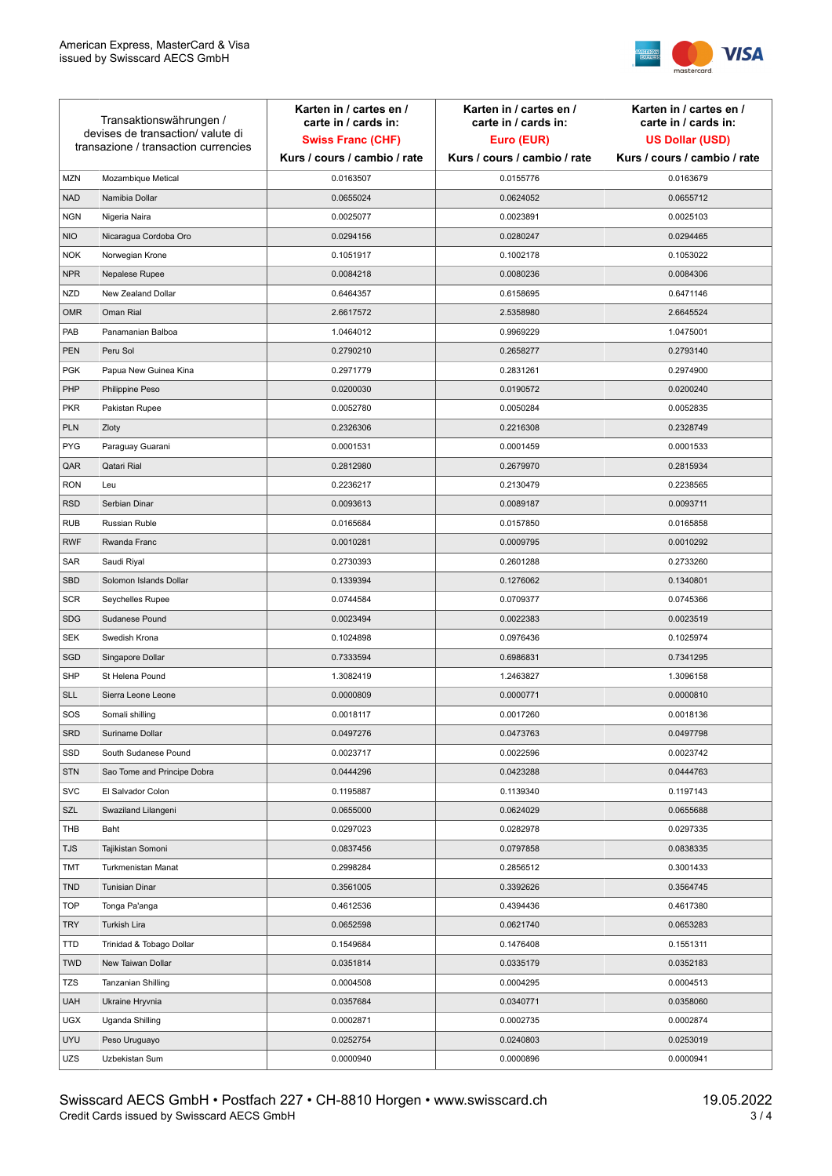

| Transaktionswährungen /<br>devises de transaction/valute di<br>transazione / transaction currencies |                             | Karten in / cartes en /<br>carte in / cards in:<br><b>Swiss Franc (CHF)</b><br>Kurs / cours / cambio / rate | Karten in / cartes en /<br>carte in / cards in:<br>Euro (EUR)<br>Kurs / cours / cambio / rate | Karten in / cartes en /<br>carte in / cards in:<br><b>US Dollar (USD)</b><br>Kurs / cours / cambio / rate |
|-----------------------------------------------------------------------------------------------------|-----------------------------|-------------------------------------------------------------------------------------------------------------|-----------------------------------------------------------------------------------------------|-----------------------------------------------------------------------------------------------------------|
|                                                                                                     |                             |                                                                                                             |                                                                                               |                                                                                                           |
| <b>MZN</b>                                                                                          | Mozambique Metical          | 0.0163507                                                                                                   | 0.0155776                                                                                     | 0.0163679                                                                                                 |
| <b>NAD</b>                                                                                          | Namibia Dollar              | 0.0655024                                                                                                   | 0.0624052                                                                                     | 0.0655712                                                                                                 |
| <b>NGN</b>                                                                                          | Nigeria Naira               | 0.0025077                                                                                                   | 0.0023891                                                                                     | 0.0025103                                                                                                 |
| <b>NIO</b>                                                                                          | Nicaragua Cordoba Oro       | 0.0294156                                                                                                   | 0.0280247                                                                                     | 0.0294465                                                                                                 |
| <b>NOK</b>                                                                                          | Norwegian Krone             | 0.1051917                                                                                                   | 0.1002178                                                                                     | 0.1053022                                                                                                 |
| <b>NPR</b>                                                                                          | Nepalese Rupee              | 0.0084218                                                                                                   | 0.0080236                                                                                     | 0.0084306                                                                                                 |
| <b>NZD</b>                                                                                          | New Zealand Dollar          | 0.6464357                                                                                                   | 0.6158695                                                                                     | 0.6471146                                                                                                 |
| <b>OMR</b>                                                                                          | Oman Rial                   | 2.6617572                                                                                                   | 2.5358980                                                                                     | 2.6645524                                                                                                 |
| PAB                                                                                                 | Panamanian Balboa           | 1.0464012                                                                                                   | 0.9969229                                                                                     | 1.0475001                                                                                                 |
| <b>PEN</b>                                                                                          | Peru Sol                    | 0.2790210                                                                                                   | 0.2658277                                                                                     | 0.2793140                                                                                                 |
| <b>PGK</b>                                                                                          | Papua New Guinea Kina       | 0.2971779                                                                                                   | 0.2831261                                                                                     | 0.2974900                                                                                                 |
| PHP                                                                                                 | Philippine Peso             | 0.0200030                                                                                                   | 0.0190572                                                                                     | 0.0200240                                                                                                 |
| <b>PKR</b>                                                                                          | Pakistan Rupee              | 0.0052780                                                                                                   | 0.0050284                                                                                     | 0.0052835                                                                                                 |
| <b>PLN</b>                                                                                          | Zloty                       | 0.2326306                                                                                                   | 0.2216308                                                                                     | 0.2328749                                                                                                 |
| <b>PYG</b>                                                                                          | Paraguay Guarani            | 0.0001531                                                                                                   | 0.0001459                                                                                     | 0.0001533                                                                                                 |
| QAR                                                                                                 | Qatari Rial                 | 0.2812980                                                                                                   | 0.2679970                                                                                     | 0.2815934                                                                                                 |
| <b>RON</b>                                                                                          | Leu                         | 0.2236217                                                                                                   | 0.2130479                                                                                     | 0.2238565                                                                                                 |
| <b>RSD</b>                                                                                          | Serbian Dinar               | 0.0093613                                                                                                   | 0.0089187                                                                                     | 0.0093711                                                                                                 |
| <b>RUB</b>                                                                                          | Russian Ruble               | 0.0165684                                                                                                   | 0.0157850                                                                                     | 0.0165858                                                                                                 |
| <b>RWF</b>                                                                                          | Rwanda Franc                | 0.0010281                                                                                                   | 0.0009795                                                                                     | 0.0010292                                                                                                 |
| SAR                                                                                                 | Saudi Riyal                 | 0.2730393                                                                                                   | 0.2601288                                                                                     | 0.2733260                                                                                                 |
| SBD                                                                                                 | Solomon Islands Dollar      | 0.1339394                                                                                                   | 0.1276062                                                                                     | 0.1340801                                                                                                 |
| <b>SCR</b>                                                                                          | Seychelles Rupee            | 0.0744584                                                                                                   | 0.0709377                                                                                     | 0.0745366                                                                                                 |
| <b>SDG</b>                                                                                          | Sudanese Pound              | 0.0023494                                                                                                   | 0.0022383                                                                                     | 0.0023519                                                                                                 |
| <b>SEK</b>                                                                                          | Swedish Krona               | 0.1024898                                                                                                   | 0.0976436                                                                                     | 0.1025974                                                                                                 |
| SGD                                                                                                 | Singapore Dollar            | 0.7333594                                                                                                   | 0.6986831                                                                                     | 0.7341295                                                                                                 |
| <b>SHP</b>                                                                                          | St Helena Pound             | 1.3082419                                                                                                   | 1.2463827                                                                                     | 1.3096158                                                                                                 |
| <b>SLL</b>                                                                                          | Sierra Leone Leone          | 0.0000809                                                                                                   | 0.0000771                                                                                     | 0.0000810                                                                                                 |
| SOS                                                                                                 | Somali shilling             | 0.0018117                                                                                                   | 0.0017260                                                                                     | 0.0018136                                                                                                 |
| SRD                                                                                                 | Suriname Dollar             | 0.0497276                                                                                                   | 0.0473763                                                                                     | 0.0497798                                                                                                 |
| SSD                                                                                                 | South Sudanese Pound        | 0.0023717                                                                                                   | 0.0022596                                                                                     | 0.0023742                                                                                                 |
| <b>STN</b>                                                                                          | Sao Tome and Principe Dobra | 0.0444296                                                                                                   | 0.0423288                                                                                     | 0.0444763                                                                                                 |
| <b>SVC</b>                                                                                          | El Salvador Colon           | 0.1195887                                                                                                   | 0.1139340                                                                                     | 0.1197143                                                                                                 |
| SZL                                                                                                 | Swaziland Lilangeni         | 0.0655000                                                                                                   | 0.0624029                                                                                     | 0.0655688                                                                                                 |
| THB                                                                                                 | Baht                        | 0.0297023                                                                                                   | 0.0282978                                                                                     | 0.0297335                                                                                                 |
| TJS                                                                                                 | Tajikistan Somoni           | 0.0837456                                                                                                   | 0.0797858                                                                                     | 0.0838335                                                                                                 |
| <b>TMT</b>                                                                                          | Turkmenistan Manat          | 0.2998284                                                                                                   | 0.2856512                                                                                     | 0.3001433                                                                                                 |
| <b>TND</b>                                                                                          | <b>Tunisian Dinar</b>       | 0.3561005                                                                                                   | 0.3392626                                                                                     | 0.3564745                                                                                                 |
| <b>TOP</b>                                                                                          | Tonga Pa'anga               | 0.4612536                                                                                                   | 0.4394436                                                                                     | 0.4617380                                                                                                 |
| <b>TRY</b>                                                                                          | Turkish Lira                | 0.0652598                                                                                                   | 0.0621740                                                                                     | 0.0653283                                                                                                 |
| TTD                                                                                                 | Trinidad & Tobago Dollar    | 0.1549684                                                                                                   | 0.1476408                                                                                     | 0.1551311                                                                                                 |
| <b>TWD</b>                                                                                          | New Taiwan Dollar           | 0.0351814                                                                                                   | 0.0335179                                                                                     | 0.0352183                                                                                                 |
| <b>TZS</b>                                                                                          | Tanzanian Shilling          | 0.0004508                                                                                                   | 0.0004295                                                                                     | 0.0004513                                                                                                 |
| <b>UAH</b>                                                                                          | Ukraine Hryvnia             | 0.0357684                                                                                                   | 0.0340771                                                                                     | 0.0358060                                                                                                 |
| <b>UGX</b>                                                                                          | Uganda Shilling             | 0.0002871                                                                                                   | 0.0002735                                                                                     | 0.0002874                                                                                                 |
| <b>UYU</b>                                                                                          | Peso Uruguayo               | 0.0252754                                                                                                   | 0.0240803                                                                                     | 0.0253019                                                                                                 |
| UZS                                                                                                 | Uzbekistan Sum              | 0.0000940                                                                                                   | 0.0000896                                                                                     | 0.0000941                                                                                                 |